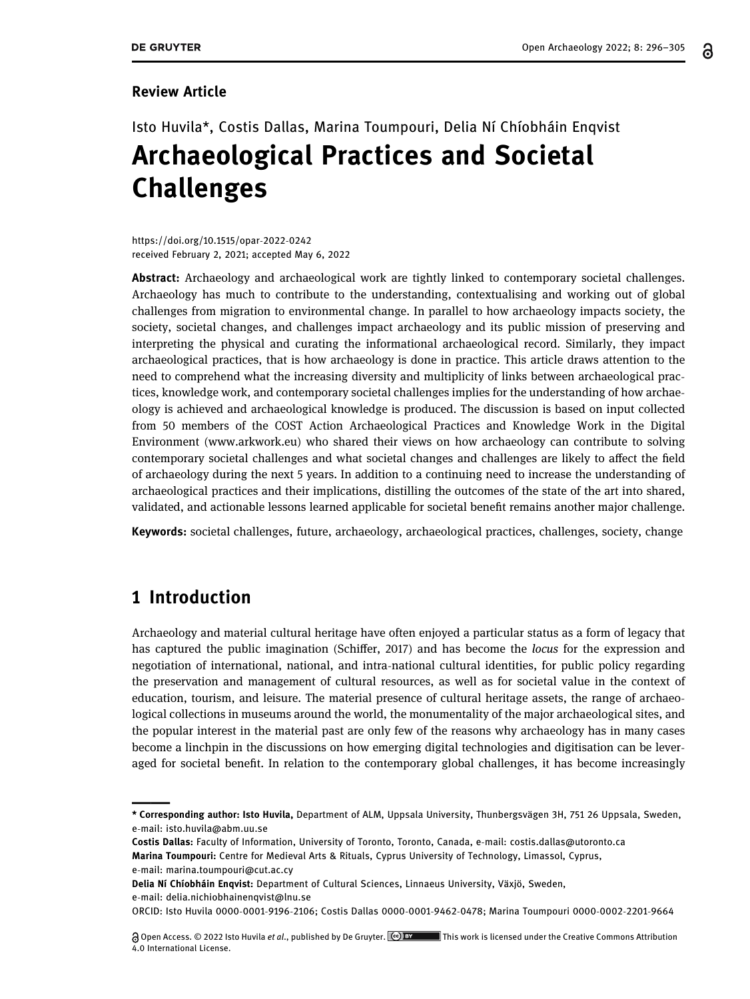#### Review Article

# Isto Huvila\*, Costis Dallas, Marina Toumpouri, Delia Ní Chíobháin Enqvist Archaeological Practices and Societal Challenges

[https://doi.org/10.1515/opar](https://doi.org/10.1515/opar-2022-0242)-2022-0242 received February 2, 2021; accepted May 6, 2022

Abstract: Archaeology and archaeological work are tightly linked to contemporary societal challenges. Archaeology has much to contribute to the understanding, contextualising and working out of global challenges from migration to environmental change. In parallel to how archaeology impacts society, the society, societal changes, and challenges impact archaeology and its public mission of preserving and interpreting the physical and curating the informational archaeological record. Similarly, they impact archaeological practices, that is how archaeology is done in practice. This article draws attention to the need to comprehend what the increasing diversity and multiplicity of links between archaeological practices, knowledge work, and contemporary societal challenges implies for the understanding of how archaeology is achieved and archaeological knowledge is produced. The discussion is based on input collected from 50 members of the COST Action Archaeological Practices and Knowledge Work in the Digital Environment ([www.arkwork.eu](http://www.arkwork.eu)) who shared their views on how archaeology can contribute to solving contemporary societal challenges and what societal changes and challenges are likely to affect the field of archaeology during the next 5 years. In addition to a continuing need to increase the understanding of archaeological practices and their implications, distilling the outcomes of the state of the art into shared, validated, and actionable lessons learned applicable for societal benefit remains another major challenge.

Keywords: societal challenges, future, archaeology, archaeological practices, challenges, society, change

### 1 Introduction

Archaeology and material cultural heritage have often enjoyed a particular status as a form of legacy that has captured the public imagination (Schiffer, [2017](#page-9-0)) and has become the locus for the expression and negotiation of international, national, and intra-national cultural identities, for public policy regarding the preservation and management of cultural resources, as well as for societal value in the context of education, tourism, and leisure. The material presence of cultural heritage assets, the range of archaeological collections in museums around the world, the monumentality of the major archaeological sites, and the popular interest in the material past are only few of the reasons why archaeology has in many cases become a linchpin in the discussions on how emerging digital technologies and digitisation can be leveraged for societal benefit. In relation to the contemporary global challenges, it has become increasingly

Marina Toumpouri: Centre for Medieval Arts & Rituals, Cyprus University of Technology, Limassol, Cyprus, e-mail: [marina.toumpouri@cut.ac.cy](mailto:marina.toumpouri@cut.ac.cy)

Delia Ní Chíobháin Enqvist: Department of Cultural Sciences, Linnaeus University, Växjö, Sweden, e-mail: [delia.nichiobhainenqvist@lnu.se](mailto:delia.nichiobhainenqvist@lnu.se)

<sup>\*</sup> Corresponding author: Isto Huvila, Department of ALM, Uppsala University, Thunbergsvägen 3H, 751 26 Uppsala, Sweden, e-mail: [isto.huvila@abm.uu.se](mailto:isto.huvila@abm.uu.se)

Costis Dallas: Faculty of Information, University of Toronto, Toronto, Canada, e-mail: [costis.dallas@utoronto.ca](mailto:costis.dallas@utoronto.ca)

ORCID: Isto Huvila 0000-0001-9196-[2106;](http://orcid.org/0000-0001-9196-2106) Costis Dallas 0000-0001-9462-[0478; M](http://orcid.org/0000-0001-9462-0478)arina Toumpouri [0000](http://orcid.org/0000-0002-2201-9664)-0002-2201-9664

<sup>@</sup> Open Access. © 2022 Isto Huvila et al., published by De Gruyter. **The Super Commons Access** under the Creative Commons Attribution 4.0 International License.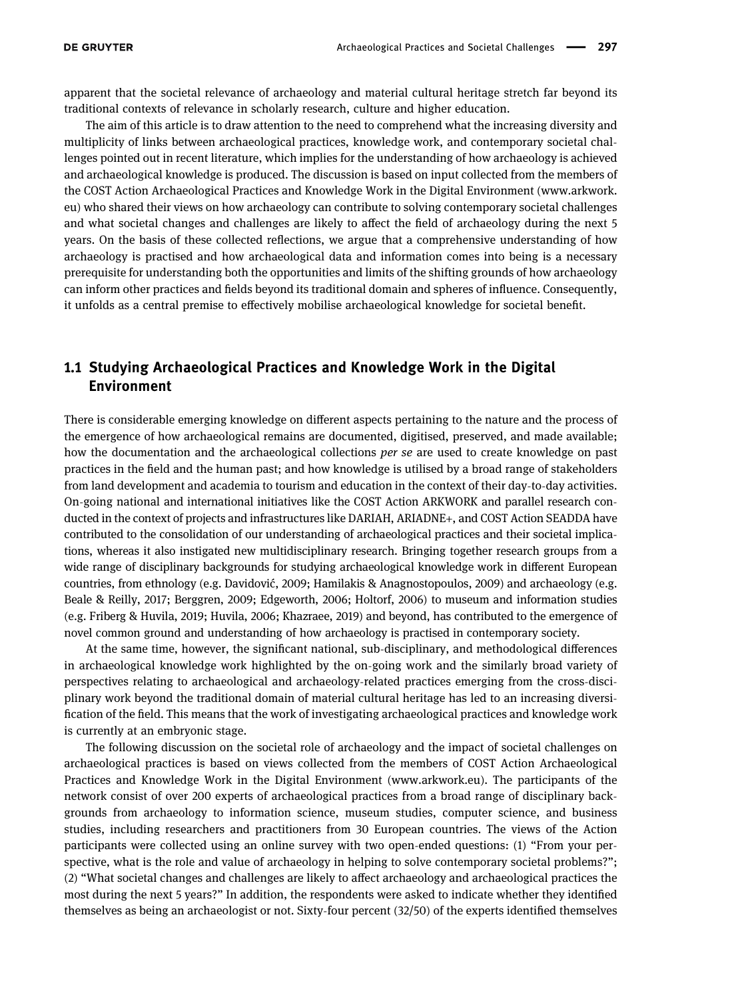apparent that the societal relevance of archaeology and material cultural heritage stretch far beyond its traditional contexts of relevance in scholarly research, culture and higher education.

The aim of this article is to draw attention to the need to comprehend what the increasing diversity and multiplicity of links between archaeological practices, knowledge work, and contemporary societal challenges pointed out in recent literature, which implies for the understanding of how archaeology is achieved and archaeological knowledge is produced. The discussion is based on input collected from the members of the COST Action Archaeological Practices and Knowledge Work in the Digital Environment ([www.arkwork.](http://www.arkwork.eu) [eu](http://www.arkwork.eu)) who shared their views on how archaeology can contribute to solving contemporary societal challenges and what societal changes and challenges are likely to affect the field of archaeology during the next 5 years. On the basis of these collected reflections, we argue that a comprehensive understanding of how archaeology is practised and how archaeological data and information comes into being is a necessary prerequisite for understanding both the opportunities and limits of the shifting grounds of how archaeology can inform other practices and fields beyond its traditional domain and spheres of influence. Consequently, it unfolds as a central premise to effectively mobilise archaeological knowledge for societal benefit.

#### 1.1 Studying Archaeological Practices and Knowledge Work in the Digital Environment

There is considerable emerging knowledge on different aspects pertaining to the nature and the process of the emergence of how archaeological remains are documented, digitised, preserved, and made available; how the documentation and the archaeological collections per se are used to create knowledge on past practices in the field and the human past; and how knowledge is utilised by a broad range of stakeholders from land development and academia to tourism and education in the context of their day-to-day activities. On-going national and international initiatives like the COST Action ARKWORK and parallel research conducted in the context of projects and infrastructures like DARIAH, ARIADNE+, and COST Action SEADDA have contributed to the consolidation of our understanding of archaeological practices and their societal implications, whereas it also instigated new multidisciplinary research. Bringing together research groups from a wide range of disciplinary backgrounds for studying archaeological knowledge work in different European countries, from ethnology (e.g. Davidović, [2009;](#page-8-0) Hamilakis & Anagnostopoulos, [2009](#page-8-1)) and archaeology (e.g. Beale & Reilly, [2017](#page-8-2); Berggren, [2009;](#page-8-3) Edgeworth, [2006](#page-8-4); Holtorf, [2006](#page-9-1)) to museum and information studies (e.g. Friberg & Huvila, [2019;](#page-8-5) Huvila, [2006](#page-9-2); Khazraee, [2019](#page-9-3)) and beyond, has contributed to the emergence of novel common ground and understanding of how archaeology is practised in contemporary society.

At the same time, however, the significant national, sub-disciplinary, and methodological differences in archaeological knowledge work highlighted by the on-going work and the similarly broad variety of perspectives relating to archaeological and archaeology-related practices emerging from the cross-disciplinary work beyond the traditional domain of material cultural heritage has led to an increasing diversification of the field. This means that the work of investigating archaeological practices and knowledge work is currently at an embryonic stage.

The following discussion on the societal role of archaeology and the impact of societal challenges on archaeological practices is based on views collected from the members of COST Action Archaeological Practices and Knowledge Work in the Digital Environment ([www.arkwork.eu](http://www.arkwork.eu)). The participants of the network consist of over 200 experts of archaeological practices from a broad range of disciplinary backgrounds from archaeology to information science, museum studies, computer science, and business studies, including researchers and practitioners from 30 European countries. The views of the Action participants were collected using an online survey with two open-ended questions: (1) "From your perspective, what is the role and value of archaeology in helping to solve contemporary societal problems?"; (2) "What societal changes and challenges are likely to affect archaeology and archaeological practices the most during the next 5 years?" In addition, the respondents were asked to indicate whether they identified themselves as being an archaeologist or not. Sixty-four percent (32/50) of the experts identified themselves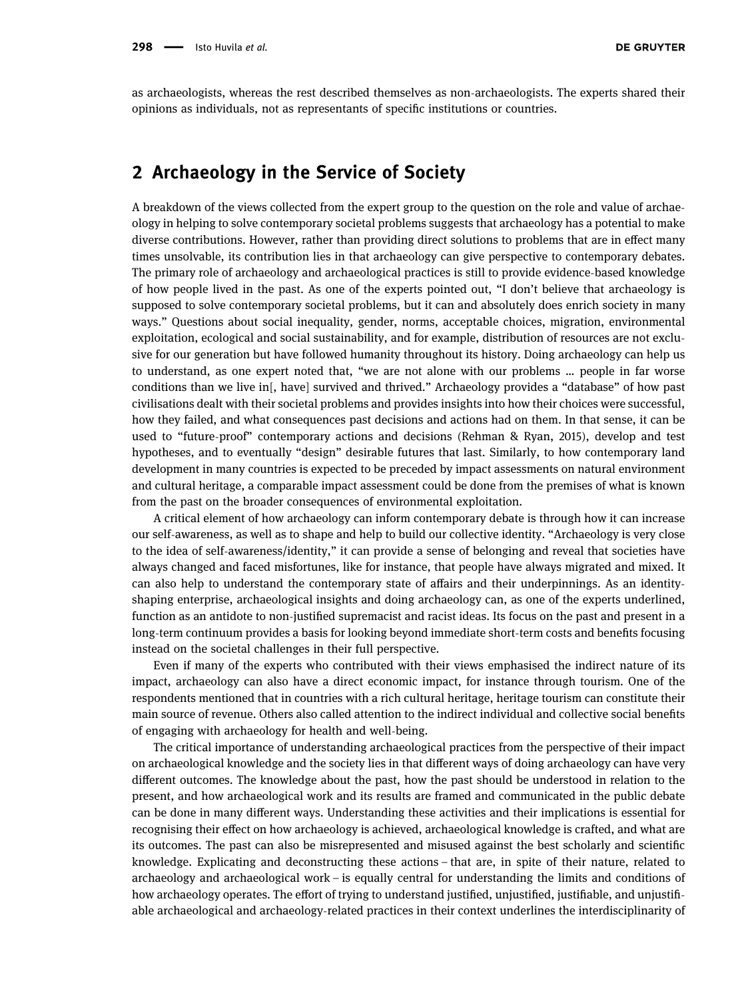as archaeologists, whereas the rest described themselves as non-archaeologists. The experts shared their opinions as individuals, not as representants of specific institutions or countries.

## 2 Archaeology in the Service of Society

A breakdown of the views collected from the expert group to the question on the role and value of archaeology in helping to solve contemporary societal problems suggests that archaeology has a potential to make diverse contributions. However, rather than providing direct solutions to problems that are in effect many times unsolvable, its contribution lies in that archaeology can give perspective to contemporary debates. The primary role of archaeology and archaeological practices is still to provide evidence-based knowledge of how people lived in the past. As one of the experts pointed out, "I don't believe that archaeology is supposed to solve contemporary societal problems, but it can and absolutely does enrich society in many ways." Questions about social inequality, gender, norms, acceptable choices, migration, environmental exploitation, ecological and social sustainability, and for example, distribution of resources are not exclusive for our generation but have followed humanity throughout its history. Doing archaeology can help us to understand, as one expert noted that, "we are not alone with our problems … people in far worse conditions than we live in[, have] survived and thrived." Archaeology provides a "database" of how past civilisations dealt with their societal problems and provides insights into how their choices were successful, how they failed, and what consequences past decisions and actions had on them. In that sense, it can be used to "future-proof" contemporary actions and decisions (Rehman & Ryan, [2015](#page-9-4)), develop and test hypotheses, and to eventually "design" desirable futures that last. Similarly, to how contemporary land development in many countries is expected to be preceded by impact assessments on natural environment and cultural heritage, a comparable impact assessment could be done from the premises of what is known from the past on the broader consequences of environmental exploitation.

A critical element of how archaeology can inform contemporary debate is through how it can increase our self-awareness, as well as to shape and help to build our collective identity. "Archaeology is very close to the idea of self-awareness/identity," it can provide a sense of belonging and reveal that societies have always changed and faced misfortunes, like for instance, that people have always migrated and mixed. It can also help to understand the contemporary state of affairs and their underpinnings. As an identityshaping enterprise, archaeological insights and doing archaeology can, as one of the experts underlined, function as an antidote to non-justified supremacist and racist ideas. Its focus on the past and present in a long-term continuum provides a basis for looking beyond immediate short-term costs and benefits focusing instead on the societal challenges in their full perspective.

Even if many of the experts who contributed with their views emphasised the indirect nature of its impact, archaeology can also have a direct economic impact, for instance through tourism. One of the respondents mentioned that in countries with a rich cultural heritage, heritage tourism can constitute their main source of revenue. Others also called attention to the indirect individual and collective social benefits of engaging with archaeology for health and well-being.

The critical importance of understanding archaeological practices from the perspective of their impact on archaeological knowledge and the society lies in that different ways of doing archaeology can have very different outcomes. The knowledge about the past, how the past should be understood in relation to the present, and how archaeological work and its results are framed and communicated in the public debate can be done in many different ways. Understanding these activities and their implications is essential for recognising their effect on how archaeology is achieved, archaeological knowledge is crafted, and what are its outcomes. The past can also be misrepresented and misused against the best scholarly and scientific knowledge. Explicating and deconstructing these actions – that are, in spite of their nature, related to archaeology and archaeological work – is equally central for understanding the limits and conditions of how archaeology operates. The effort of trying to understand justified, unjustified, justifiable, and unjustifiable archaeological and archaeology-related practices in their context underlines the interdisciplinarity of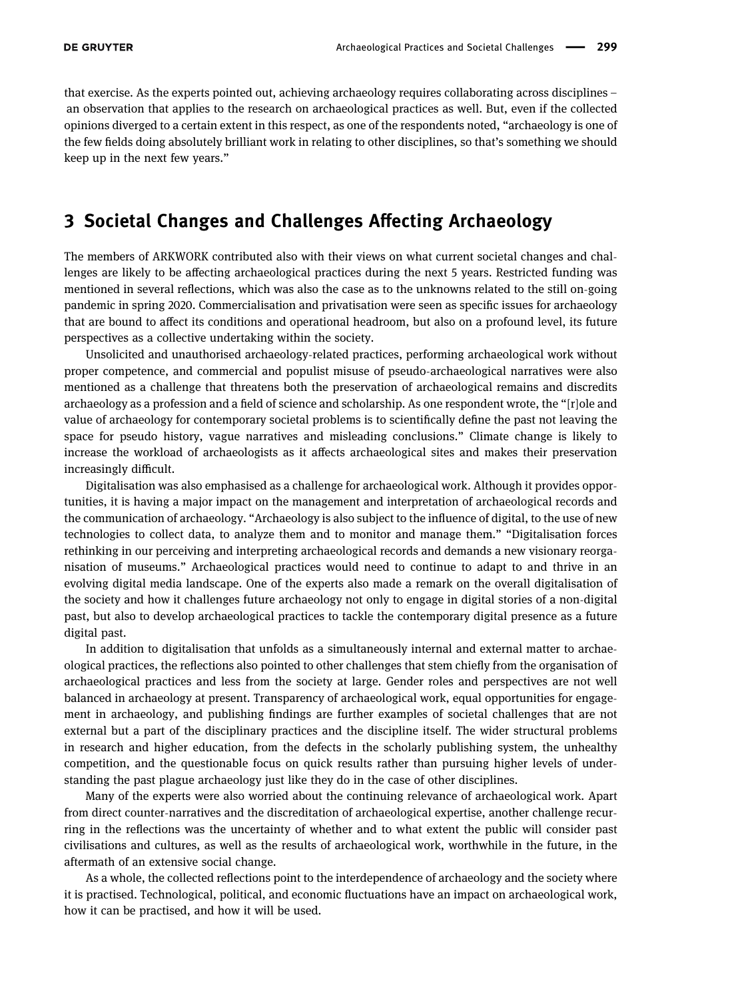that exercise. As the experts pointed out, achieving archaeology requires collaborating across disciplines – an observation that applies to the research on archaeological practices as well. But, even if the collected opinions diverged to a certain extent in this respect, as one of the respondents noted, "archaeology is one of the few fields doing absolutely brilliant work in relating to other disciplines, so that's something we should keep up in the next few years."

### 3 Societal Changes and Challenges Affecting Archaeology

The members of ARKWORK contributed also with their views on what current societal changes and challenges are likely to be affecting archaeological practices during the next 5 years. Restricted funding was mentioned in several reflections, which was also the case as to the unknowns related to the still on-going pandemic in spring 2020. Commercialisation and privatisation were seen as specific issues for archaeology that are bound to affect its conditions and operational headroom, but also on a profound level, its future perspectives as a collective undertaking within the society.

Unsolicited and unauthorised archaeology-related practices, performing archaeological work without proper competence, and commercial and populist misuse of pseudo-archaeological narratives were also mentioned as a challenge that threatens both the preservation of archaeological remains and discredits archaeology as a profession and a field of science and scholarship. As one respondent wrote, the "[r]ole and value of archaeology for contemporary societal problems is to scientifically define the past not leaving the space for pseudo history, vague narratives and misleading conclusions." Climate change is likely to increase the workload of archaeologists as it affects archaeological sites and makes their preservation increasingly difficult.

Digitalisation was also emphasised as a challenge for archaeological work. Although it provides opportunities, it is having a major impact on the management and interpretation of archaeological records and the communication of archaeology. "Archaeology is also subject to the influence of digital, to the use of new technologies to collect data, to analyze them and to monitor and manage them." "Digitalisation forces rethinking in our perceiving and interpreting archaeological records and demands a new visionary reorganisation of museums." Archaeological practices would need to continue to adapt to and thrive in an evolving digital media landscape. One of the experts also made a remark on the overall digitalisation of the society and how it challenges future archaeology not only to engage in digital stories of a non-digital past, but also to develop archaeological practices to tackle the contemporary digital presence as a future digital past.

In addition to digitalisation that unfolds as a simultaneously internal and external matter to archaeological practices, the reflections also pointed to other challenges that stem chiefly from the organisation of archaeological practices and less from the society at large. Gender roles and perspectives are not well balanced in archaeology at present. Transparency of archaeological work, equal opportunities for engagement in archaeology, and publishing findings are further examples of societal challenges that are not external but a part of the disciplinary practices and the discipline itself. The wider structural problems in research and higher education, from the defects in the scholarly publishing system, the unhealthy competition, and the questionable focus on quick results rather than pursuing higher levels of understanding the past plague archaeology just like they do in the case of other disciplines.

Many of the experts were also worried about the continuing relevance of archaeological work. Apart from direct counter-narratives and the discreditation of archaeological expertise, another challenge recurring in the reflections was the uncertainty of whether and to what extent the public will consider past civilisations and cultures, as well as the results of archaeological work, worthwhile in the future, in the aftermath of an extensive social change.

As a whole, the collected reflections point to the interdependence of archaeology and the society where it is practised. Technological, political, and economic fluctuations have an impact on archaeological work, how it can be practised, and how it will be used.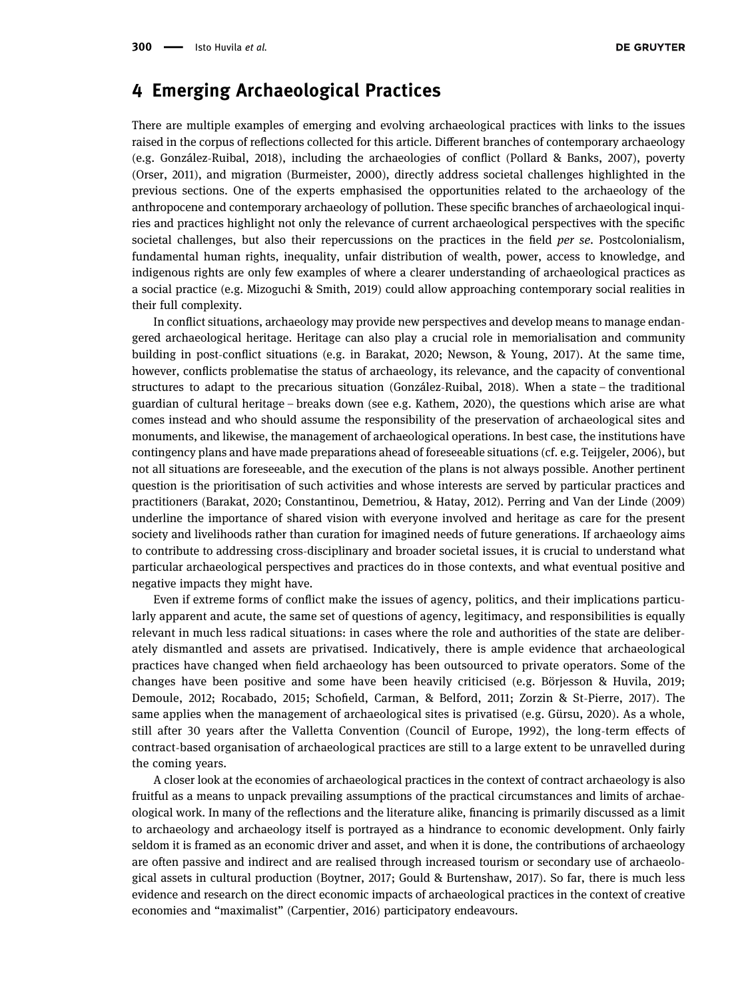# 4 Emerging Archaeological Practices

There are multiple examples of emerging and evolving archaeological practices with links to the issues raised in the corpus of reflections collected for this article. Different branches of contemporary archaeology (e.g. González-Ruibal, [2018](#page-8-6)), including the archaeologies of conflict (Pollard & Banks, [2007](#page-9-5)), poverty (Orser, [2011](#page-9-6)), and migration (Burmeister, [2000](#page-8-7)), directly address societal challenges highlighted in the previous sections. One of the experts emphasised the opportunities related to the archaeology of the anthropocene and contemporary archaeology of pollution. These specific branches of archaeological inquiries and practices highlight not only the relevance of current archaeological perspectives with the specific societal challenges, but also their repercussions on the practices in the field *per se*. Postcolonialism, fundamental human rights, inequality, unfair distribution of wealth, power, access to knowledge, and indigenous rights are only few examples of where a clearer understanding of archaeological practices as a social practice (e.g. Mizoguchi & Smith, [2019](#page-9-7)) could allow approaching contemporary social realities in their full complexity.

In conflict situations, archaeology may provide new perspectives and develop means to manage endangered archaeological heritage. Heritage can also play a crucial role in memorialisation and community building in post-conflict situations (e.g. in Barakat, [2020;](#page-8-8) Newson, & Young, [2017](#page-9-8)). At the same time, however, conflicts problematise the status of archaeology, its relevance, and the capacity of conventional structures to adapt to the precarious situation (González-Ruibal, [2018](#page-8-6)). When a state – the traditional guardian of cultural heritage – breaks down (see e.g. Kathem, [2020](#page-9-9)), the questions which arise are what comes instead and who should assume the responsibility of the preservation of archaeological sites and monuments, and likewise, the management of archaeological operations. In best case, the institutions have contingency plans and have made preparations ahead of foreseeable situations (cf. e.g. Teijgeler, [2006](#page-9-10)), but not all situations are foreseeable, and the execution of the plans is not always possible. Another pertinent question is the prioritisation of such activities and whose interests are served by particular practices and practitioners (Barakat, [2020;](#page-8-8) Constantinou, Demetriou, & Hatay, [2012](#page-8-9)). Perring and Van der Linde ([2009](#page-9-11)) underline the importance of shared vision with everyone involved and heritage as care for the present society and livelihoods rather than curation for imagined needs of future generations. If archaeology aims to contribute to addressing cross-disciplinary and broader societal issues, it is crucial to understand what particular archaeological perspectives and practices do in those contexts, and what eventual positive and negative impacts they might have.

Even if extreme forms of conflict make the issues of agency, politics, and their implications particularly apparent and acute, the same set of questions of agency, legitimacy, and responsibilities is equally relevant in much less radical situations: in cases where the role and authorities of the state are deliberately dismantled and assets are privatised. Indicatively, there is ample evidence that archaeological practices have changed when field archaeology has been outsourced to private operators. Some of the changes have been positive and some have been heavily criticised (e.g. Börjesson & Huvila, [2019](#page-8-10); Demoule, [2012](#page-8-11); Rocabado, [2015](#page-9-12); Schofield, Carman, & Belford, [2011](#page-9-13); Zorzin & St-Pierre, [2017](#page-9-14)). The same applies when the management of archaeological sites is privatised (e.g. Gürsu, [2020](#page-8-12)). As a whole, still after 30 years after the Valletta Convention (Council of Europe, [1992](#page-8-13)), the long-term effects of contract-based organisation of archaeological practices are still to a large extent to be unravelled during the coming years.

A closer look at the economies of archaeological practices in the context of contract archaeology is also fruitful as a means to unpack prevailing assumptions of the practical circumstances and limits of archaeological work. In many of the reflections and the literature alike, financing is primarily discussed as a limit to archaeology and archaeology itself is portrayed as a hindrance to economic development. Only fairly seldom it is framed as an economic driver and asset, and when it is done, the contributions of archaeology are often passive and indirect and are realised through increased tourism or secondary use of archaeological assets in cultural production (Boytner, [2017;](#page-8-14) Gould & Burtenshaw, [2017](#page-8-15)). So far, there is much less evidence and research on the direct economic impacts of archaeological practices in the context of creative economies and "maximalist" (Carpentier, [2016](#page-8-16)) participatory endeavours.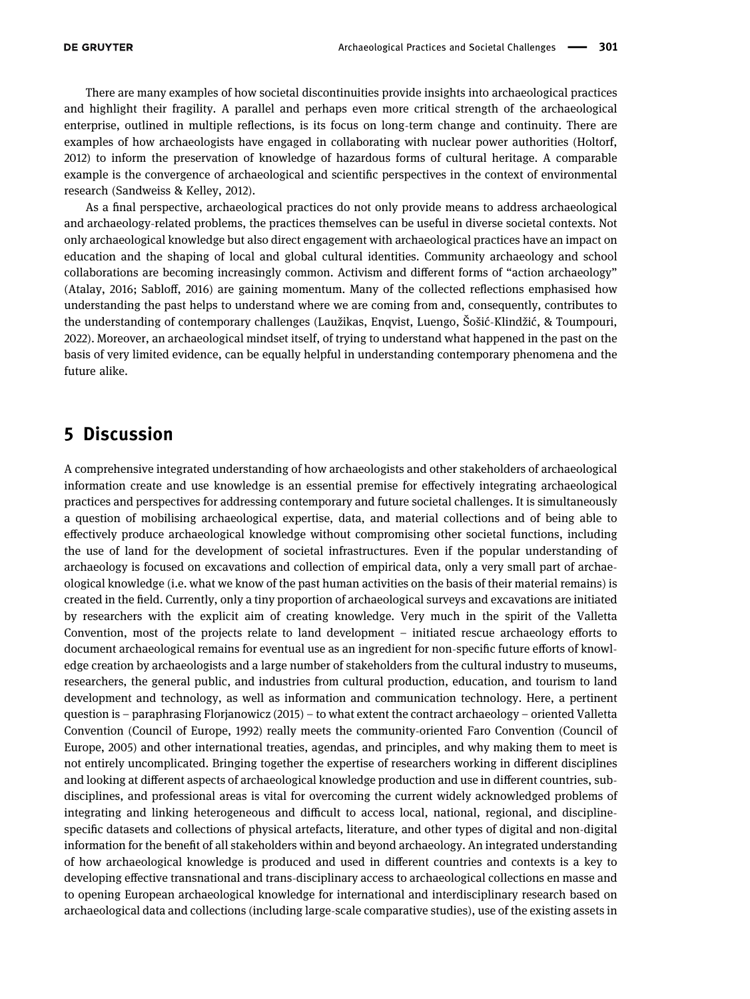There are many examples of how societal discontinuities provide insights into archaeological practices and highlight their fragility. A parallel and perhaps even more critical strength of the archaeological enterprise, outlined in multiple reflections, is its focus on long-term change and continuity. There are examples of how archaeologists have engaged in collaborating with nuclear power authorities (Holtorf, [2012](#page-9-15)) to inform the preservation of knowledge of hazardous forms of cultural heritage. A comparable example is the convergence of archaeological and scientific perspectives in the context of environmental research (Sandweiss & Kelley, [2012](#page-9-16)).

As a final perspective, archaeological practices do not only provide means to address archaeological and archaeology-related problems, the practices themselves can be useful in diverse societal contexts. Not only archaeological knowledge but also direct engagement with archaeological practices have an impact on education and the shaping of local and global cultural identities. Community archaeology and school collaborations are becoming increasingly common. Activism and different forms of "action archaeology" (Atalay, [2016;](#page-8-17) Sabloff, [2016](#page-9-17)) are gaining momentum. Many of the collected reflections emphasised how understanding the past helps to understand where we are coming from and, consequently, contributes to the understanding of contemporary challenges (Laužikas, Enqvist, Luengo, Šošić-Klindžić, & Toumpouri, [2022](#page-9-18)). Moreover, an archaeological mindset itself, of trying to understand what happened in the past on the basis of very limited evidence, can be equally helpful in understanding contemporary phenomena and the future alike.

# 5 Discussion

A comprehensive integrated understanding of how archaeologists and other stakeholders of archaeological information create and use knowledge is an essential premise for effectively integrating archaeological practices and perspectives for addressing contemporary and future societal challenges. It is simultaneously a question of mobilising archaeological expertise, data, and material collections and of being able to effectively produce archaeological knowledge without compromising other societal functions, including the use of land for the development of societal infrastructures. Even if the popular understanding of archaeology is focused on excavations and collection of empirical data, only a very small part of archaeological knowledge (i.e. what we know of the past human activities on the basis of their material remains) is created in the field. Currently, only a tiny proportion of archaeological surveys and excavations are initiated by researchers with the explicit aim of creating knowledge. Very much in the spirit of the Valletta Convention, most of the projects relate to land development – initiated rescue archaeology efforts to document archaeological remains for eventual use as an ingredient for non-specific future efforts of knowledge creation by archaeologists and a large number of stakeholders from the cultural industry to museums, researchers, the general public, and industries from cultural production, education, and tourism to land development and technology, as well as information and communication technology. Here, a pertinent question is – paraphrasing Florjanowicz ([2015](#page-8-18)) – to what extent the contract archaeology – oriented Valletta Convention (Council of Europe, [1992](#page-8-13)) really meets the community-oriented Faro Convention (Council of Europe, [2005](#page-8-19)) and other international treaties, agendas, and principles, and why making them to meet is not entirely uncomplicated. Bringing together the expertise of researchers working in different disciplines and looking at different aspects of archaeological knowledge production and use in different countries, subdisciplines, and professional areas is vital for overcoming the current widely acknowledged problems of integrating and linking heterogeneous and difficult to access local, national, regional, and disciplinespecific datasets and collections of physical artefacts, literature, and other types of digital and non-digital information for the benefit of all stakeholders within and beyond archaeology. An integrated understanding of how archaeological knowledge is produced and used in different countries and contexts is a key to developing effective transnational and trans-disciplinary access to archaeological collections en masse and to opening European archaeological knowledge for international and interdisciplinary research based on archaeological data and collections (including large-scale comparative studies), use of the existing assets in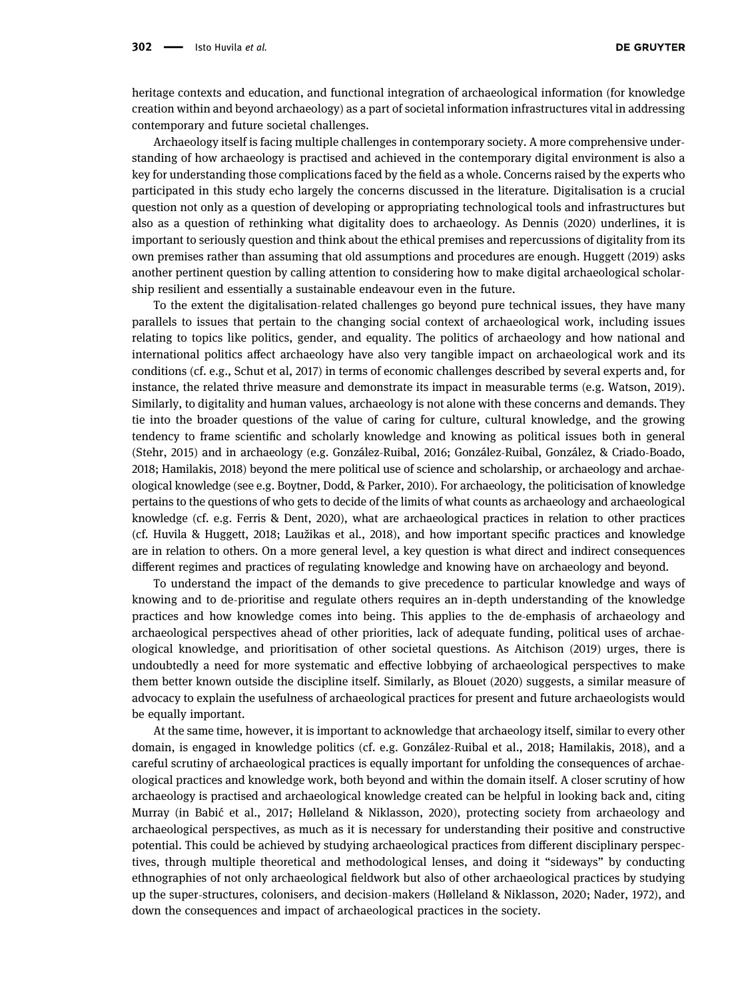heritage contexts and education, and functional integration of archaeological information (for knowledge creation within and beyond archaeology) as a part of societal information infrastructures vital in addressing contemporary and future societal challenges.

Archaeology itself is facing multiple challenges in contemporary society. A more comprehensive understanding of how archaeology is practised and achieved in the contemporary digital environment is also a key for understanding those complications faced by the field as a whole. Concerns raised by the experts who participated in this study echo largely the concerns discussed in the literature. Digitalisation is a crucial question not only as a question of developing or appropriating technological tools and infrastructures but also as a question of rethinking what digitality does to archaeology. As Dennis ([2020](#page-8-20)) underlines, it is important to seriously question and think about the ethical premises and repercussions of digitality from its own premises rather than assuming that old assumptions and procedures are enough. Huggett ([2019](#page-9-19)) asks another pertinent question by calling attention to considering how to make digital archaeological scholarship resilient and essentially a sustainable endeavour even in the future.

To the extent the digitalisation-related challenges go beyond pure technical issues, they have many parallels to issues that pertain to the changing social context of archaeological work, including issues relating to topics like politics, gender, and equality. The politics of archaeology and how national and international politics affect archaeology have also very tangible impact on archaeological work and its conditions (cf. e.g., Schut et al, 2017) in terms of economic challenges described by several experts and, for instance, the related thrive measure and demonstrate its impact in measurable terms (e.g. Watson, [2019](#page-9-20)). Similarly, to digitality and human values, archaeology is not alone with these concerns and demands. They tie into the broader questions of the value of caring for culture, cultural knowledge, and the growing tendency to frame scientific and scholarly knowledge and knowing as political issues both in general (Stehr, [2015](#page-9-21)) and in archaeology (e.g. González-Ruibal, 2016; González-Ruibal, González, & Criado-Boado, [2018](#page-8-21); Hamilakis, [2018](#page-9-22)) beyond the mere political use of science and scholarship, or archaeology and archaeological knowledge (see e.g. Boytner, Dodd, & Parker, [2010](#page-8-22)). For archaeology, the politicisation of knowledge pertains to the questions of who gets to decide of the limits of what counts as archaeology and archaeological knowledge (cf. e.g. Ferris & Dent, [2020](#page-8-23)), what are archaeological practices in relation to other practices (cf. Huvila & Huggett, [2018;](#page-9-23) Laužikas et al., [2018](#page-9-24)), and how important specific practices and knowledge are in relation to others. On a more general level, a key question is what direct and indirect consequences different regimes and practices of regulating knowledge and knowing have on archaeology and beyond.

To understand the impact of the demands to give precedence to particular knowledge and ways of knowing and to de-prioritise and regulate others requires an in-depth understanding of the knowledge practices and how knowledge comes into being. This applies to the de-emphasis of archaeology and archaeological perspectives ahead of other priorities, lack of adequate funding, political uses of archaeological knowledge, and prioritisation of other societal questions. As Aitchison ([2019](#page-8-24)) urges, there is undoubtedly a need for more systematic and effective lobbying of archaeological perspectives to make them better known outside the discipline itself. Similarly, as Blouet ([2020](#page-8-25)) suggests, a similar measure of advocacy to explain the usefulness of archaeological practices for present and future archaeologists would be equally important.

At the same time, however, it is important to acknowledge that archaeology itself, similar to every other domain, is engaged in knowledge politics (cf. e.g. González-Ruibal et al., [2018;](#page-8-21) Hamilakis, [2018](#page-9-22)), and a careful scrutiny of archaeological practices is equally important for unfolding the consequences of archaeological practices and knowledge work, both beyond and within the domain itself. A closer scrutiny of how archaeology is practised and archaeological knowledge created can be helpful in looking back and, citing Murray (in Babić et al., [2017;](#page-8-26) Hølleland & Niklasson, [2020](#page-9-25)), protecting society from archaeology and archaeological perspectives, as much as it is necessary for understanding their positive and constructive potential. This could be achieved by studying archaeological practices from different disciplinary perspectives, through multiple theoretical and methodological lenses, and doing it "sideways" by conducting ethnographies of not only archaeological fieldwork but also of other archaeological practices by studying up the super-structures, colonisers, and decision-makers (Hølleland & Niklasson, [2020;](#page-9-25) Nader, [1972](#page-9-26)), and down the consequences and impact of archaeological practices in the society.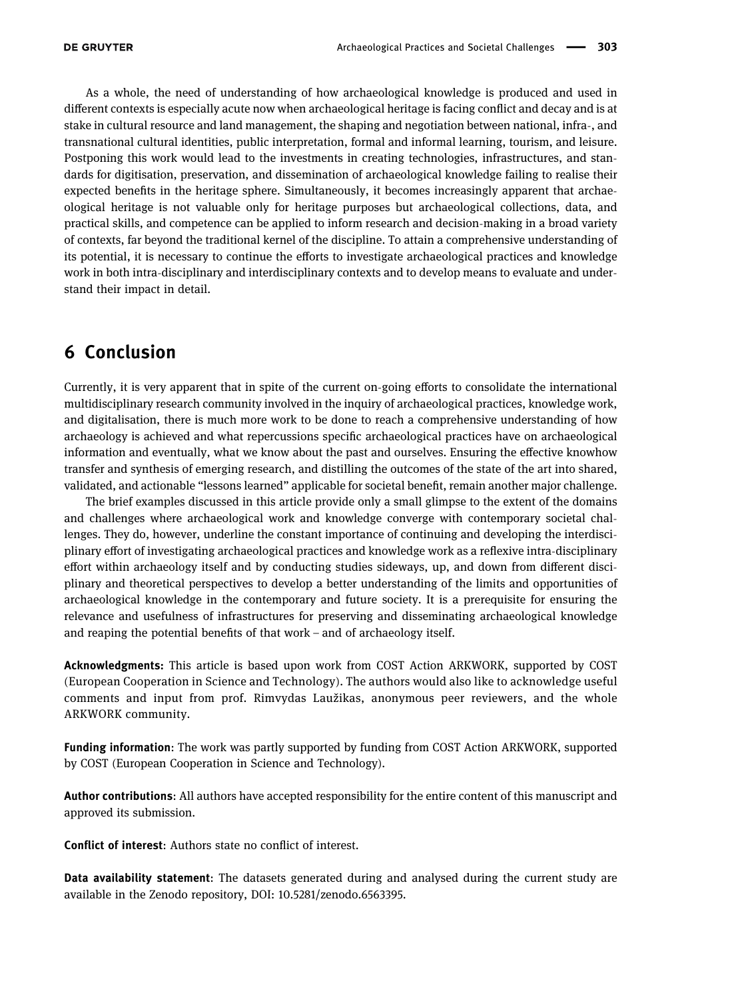As a whole, the need of understanding of how archaeological knowledge is produced and used in different contexts is especially acute now when archaeological heritage is facing conflict and decay and is at stake in cultural resource and land management, the shaping and negotiation between national, infra-, and transnational cultural identities, public interpretation, formal and informal learning, tourism, and leisure. Postponing this work would lead to the investments in creating technologies, infrastructures, and standards for digitisation, preservation, and dissemination of archaeological knowledge failing to realise their expected benefits in the heritage sphere. Simultaneously, it becomes increasingly apparent that archaeological heritage is not valuable only for heritage purposes but archaeological collections, data, and practical skills, and competence can be applied to inform research and decision-making in a broad variety of contexts, far beyond the traditional kernel of the discipline. To attain a comprehensive understanding of its potential, it is necessary to continue the efforts to investigate archaeological practices and knowledge work in both intra-disciplinary and interdisciplinary contexts and to develop means to evaluate and understand their impact in detail.

# 6 Conclusion

Currently, it is very apparent that in spite of the current on-going efforts to consolidate the international multidisciplinary research community involved in the inquiry of archaeological practices, knowledge work, and digitalisation, there is much more work to be done to reach a comprehensive understanding of how archaeology is achieved and what repercussions specific archaeological practices have on archaeological information and eventually, what we know about the past and ourselves. Ensuring the effective knowhow transfer and synthesis of emerging research, and distilling the outcomes of the state of the art into shared, validated, and actionable "lessons learned" applicable for societal benefit, remain another major challenge.

The brief examples discussed in this article provide only a small glimpse to the extent of the domains and challenges where archaeological work and knowledge converge with contemporary societal challenges. They do, however, underline the constant importance of continuing and developing the interdisciplinary effort of investigating archaeological practices and knowledge work as a reflexive intra-disciplinary effort within archaeology itself and by conducting studies sideways, up, and down from different disciplinary and theoretical perspectives to develop a better understanding of the limits and opportunities of archaeological knowledge in the contemporary and future society. It is a prerequisite for ensuring the relevance and usefulness of infrastructures for preserving and disseminating archaeological knowledge and reaping the potential benefits of that work – and of archaeology itself.

Acknowledgments: This article is based upon work from COST Action ARKWORK, supported by COST (European Cooperation in Science and Technology). The authors would also like to acknowledge useful comments and input from prof. Rimvydas Laužikas, anonymous peer reviewers, and the whole ARKWORK community.

Funding information: The work was partly supported by funding from COST Action ARKWORK, supported by COST (European Cooperation in Science and Technology).

Author contributions: All authors have accepted responsibility for the entire content of this manuscript and approved its submission.

Conflict of interest: Authors state no conflict of interest.

Data availability statement: The datasets generated during and analysed during the current study are available in the Zenodo repository, DOI: 10.5281/zenodo.6563395.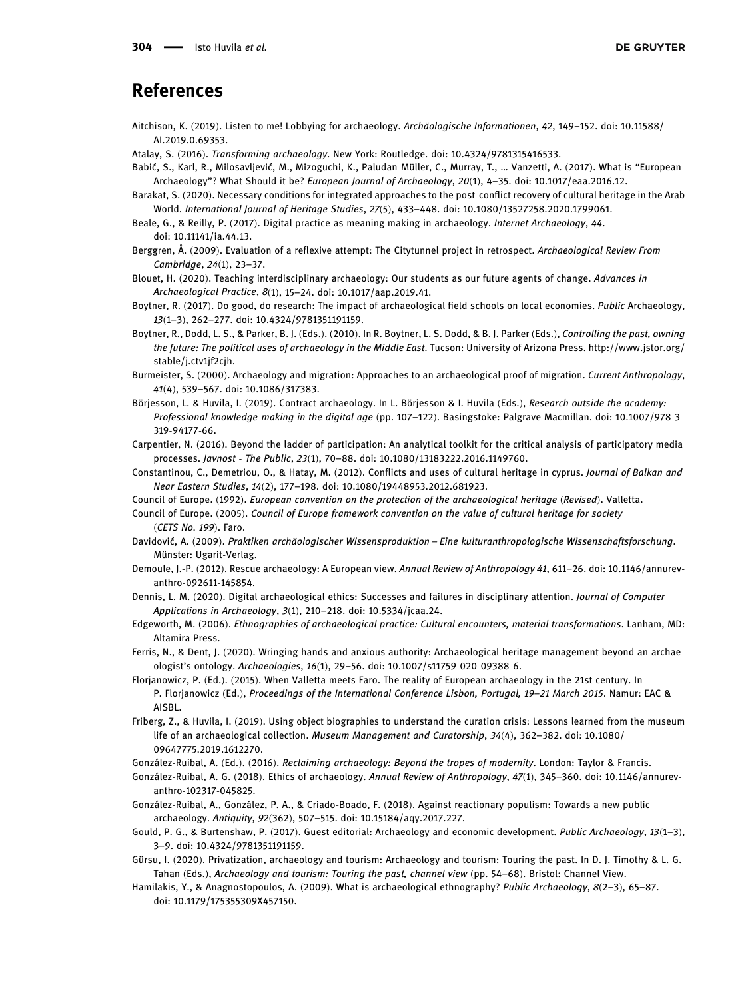#### References

- <span id="page-8-24"></span>Aitchison, K. (2019). Listen to me! Lobbying for archaeology. Archäologische Informationen, 42, 149–152. doi: 10.11588/ AI.2019.0.69353.
- <span id="page-8-17"></span>Atalay, S. (2016). Transforming archaeology. New York: Routledge. doi: 10.4324/9781315416533.
- <span id="page-8-26"></span>Babić, S., Karl, R., Milosavljević, M., Mizoguchi, K., Paludan-Müller, C., Murray, T., … Vanzetti, A. (2017). What is "European Archaeology"? What Should it be? European Journal of Archaeology, 20(1), 4–35. doi: 10.1017/eaa.2016.12.
- <span id="page-8-8"></span>Barakat, S. (2020). Necessary conditions for integrated approaches to the post-conflict recovery of cultural heritage in the Arab World. International Journal of Heritage Studies, 27(5), 433–448. doi: 10.1080/13527258.2020.1799061.
- <span id="page-8-2"></span>Beale, G., & Reilly, P. (2017). Digital practice as meaning making in archaeology. Internet Archaeology, 44. doi: 10.11141/ia.44.13.
- <span id="page-8-3"></span>Berggren, Å. (2009). Evaluation of a reflexive attempt: The Citytunnel project in retrospect. Archaeological Review From Cambridge, 24(1), 23–37.
- <span id="page-8-25"></span>Blouet, H. (2020). Teaching interdisciplinary archaeology: Our students as our future agents of change. Advances in Archaeological Practice, 8(1), 15–24. doi: 10.1017/aap.2019.41.
- <span id="page-8-14"></span>Boytner, R. (2017). Do good, do research: The impact of archaeological field schools on local economies. Public Archaeology, 13(1–3), 262–277. doi: 10.4324/9781351191159.
- <span id="page-8-22"></span>Boytner, R., Dodd, L. S., & Parker, B. J. (Eds.). (2010). In R. Boytner, L. S. Dodd, & B. J. Parker (Eds.), Controlling the past, owning the future: The political uses of archaeology in the Middle East. Tucson: University of Arizona Press. [http://www.jstor.org/](http://www.jstor.org/stable/j.ctv1jf2cjh) [stable/j.ctv1jf2cjh.](http://www.jstor.org/stable/j.ctv1jf2cjh)
- <span id="page-8-7"></span>Burmeister, S. (2000). Archaeology and migration: Approaches to an archaeological proof of migration. Current Anthropology, 41(4), 539–567. doi: 10.1086/317383.
- <span id="page-8-10"></span>Börjesson, L. & Huvila, I. (2019). Contract archaeology. In L. Börjesson & I. Huvila (Eds.), Research outside the academy: Professional knowledge-making in the digital age (pp. 107–122). Basingstoke: Palgrave Macmillan. doi: 10.1007/978-3- 319-94177-66.
- <span id="page-8-16"></span>Carpentier, N. (2016). Beyond the ladder of participation: An analytical toolkit for the critical analysis of participatory media processes. Javnost - The Public, 23(1), 70–88. doi: 10.1080/13183222.2016.1149760.
- <span id="page-8-9"></span>Constantinou, C., Demetriou, O., & Hatay, M. (2012). Conflicts and uses of cultural heritage in cyprus. Journal of Balkan and Near Eastern Studies, 14(2), 177–198. doi: 10.1080/19448953.2012.681923.
- <span id="page-8-13"></span>Council of Europe. (1992). European convention on the protection of the archaeological heritage (Revised). Valletta.
- <span id="page-8-19"></span>Council of Europe. (2005). Council of Europe framework convention on the value of cultural heritage for society (CETS No. 199). Faro.
- <span id="page-8-0"></span>Davidović, A. (2009). Praktiken archäologischer Wissensproduktion – Eine kulturanthropologische Wissenschaftsforschung. Münster: Ugarit-Verlag.
- <span id="page-8-11"></span>Demoule, J.-P. (2012). Rescue archaeology: A European view. Annual Review of Anthropology 41, 611–26. doi: 10.1146/annurevanthro-092611-145854.
- <span id="page-8-20"></span>Dennis, L. M. (2020). Digital archaeological ethics: Successes and failures in disciplinary attention. Journal of Computer Applications in Archaeology, 3(1), 210–218. doi: 10.5334/jcaa.24.
- <span id="page-8-4"></span>Edgeworth, M. (2006). Ethnographies of archaeological practice: Cultural encounters, material transformations. Lanham, MD: Altamira Press.
- <span id="page-8-23"></span>Ferris, N., & Dent, J. (2020). Wringing hands and anxious authority: Archaeological heritage management beyond an archaeologist's ontology. Archaeologies, 16(1), 29–56. doi: 10.1007/s11759-020-09388-6.
- <span id="page-8-18"></span>Florjanowicz, P. (Ed.). (2015). When Valletta meets Faro. The reality of European archaeology in the 21st century. In P. Florjanowicz (Ed.), Proceedings of the International Conference Lisbon, Portugal, 19–21 March 2015. Namur: EAC & AISBL.
- <span id="page-8-5"></span>Friberg, Z., & Huvila, I. (2019). Using object biographies to understand the curation crisis: Lessons learned from the museum life of an archaeological collection. Museum Management and Curatorship, 34(4), 362-382. doi: 10.1080/ 09647775.2019.1612270.
- González-Ruibal, A. (Ed.). (2016). Reclaiming archaeology: Beyond the tropes of modernity. London: Taylor & Francis.
- <span id="page-8-6"></span>González-Ruibal, A. G. (2018). Ethics of archaeology. Annual Review of Anthropology, 47(1), 345–360. doi: 10.1146/annurevanthro-102317-045825.
- <span id="page-8-21"></span>González-Ruibal, A., González, P. A., & Criado-Boado, F. (2018). Against reactionary populism: Towards a new public archaeology. Antiquity, 92(362), 507–515. doi: 10.15184/aqy.2017.227.
- <span id="page-8-15"></span>Gould, P. G., & Burtenshaw, P. (2017). Guest editorial: Archaeology and economic development. Public Archaeology, 13(1–3), 3–9. doi: 10.4324/9781351191159.
- <span id="page-8-12"></span>Gürsu, I. (2020). Privatization, archaeology and tourism: Archaeology and tourism: Touring the past. In D. J. Timothy & L. G. Tahan (Eds.), Archaeology and tourism: Touring the past, channel view (pp. 54–68). Bristol: Channel View.
- <span id="page-8-1"></span>Hamilakis, Y., & Anagnostopoulos, A. (2009). What is archaeological ethnography? Public Archaeology, 8(2–3), 65–87. doi: 10.1179/175355309X457150.